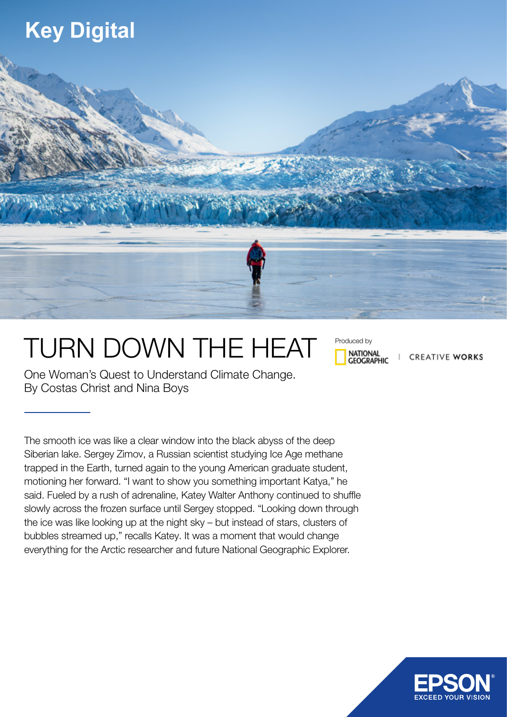## **Key Digital**



## TURN DOWN THE HEAT

Produced by**NATIONAL GEOGRAPHIC** 

**CREATIVE WORKS** 

One Woman's Quest to Understand Climate Change. By Costas Christ and Nina Boys

The smooth ice was like a clear window into the black abyss of the deep Siberian lake. Sergey Zimov, a Russian scientist studying Ice Age methane trapped in the Earth, turned again to the young American graduate student, motioning her forward. "I want to show you something important Katya," he said. Fueled by a rush of adrenaline, Katey Walter Anthony continued to shuffle slowly across the frozen surface until Sergey stopped. "Looking down through the ice was like looking up at the night sky – but instead of stars, clusters of bubbles streamed up," recalls Katey. It was a moment that would change everything for the Arctic researcher and future National Geographic Explorer.

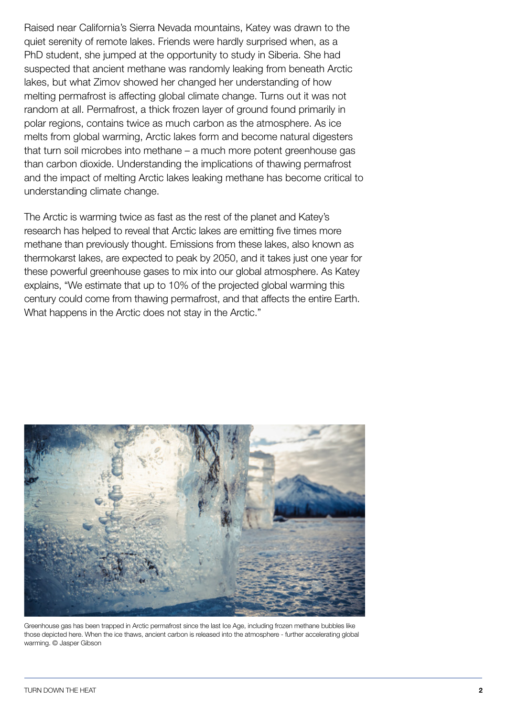Raised near California's Sierra Nevada mountains, Katey was drawn to the quiet serenity of remote lakes. Friends were hardly surprised when, as a PhD student, she jumped at the opportunity to study in Siberia. She had suspected that ancient methane was randomly leaking from beneath Arctic lakes, but what Zimov showed her changed her understanding of how melting permafrost is affecting global climate change. Turns out it was not random at all. Permafrost, a thick frozen layer of ground found primarily in polar regions, contains twice as much carbon as the atmosphere. As ice melts from global warming, Arctic lakes form and become natural digesters that turn soil microbes into methane – a much more potent greenhouse gas than carbon dioxide. Understanding the implications of thawing permafrost and the impact of melting Arctic lakes leaking methane has become critical to understanding climate change.

The Arctic is warming twice as fast as the rest of the planet and Katey's research has helped to reveal that Arctic lakes are emitting five times more methane than previously thought. Emissions from these lakes, also known as thermokarst lakes, are expected to peak by 2050, and it takes just one year for these powerful greenhouse gases to mix into our global atmosphere. As Katey explains, "We estimate that up to 10% of the projected global warming this century could come from thawing permafrost, and that affects the entire Earth. What happens in the Arctic does not stay in the Arctic."



Greenhouse gas has been trapped in Arctic permafrost since the last Ice Age, including frozen methane bubbles like those depicted here. When the ice thaws, ancient carbon is released into the atmosphere - further accelerating global warming. © Jasper Gibson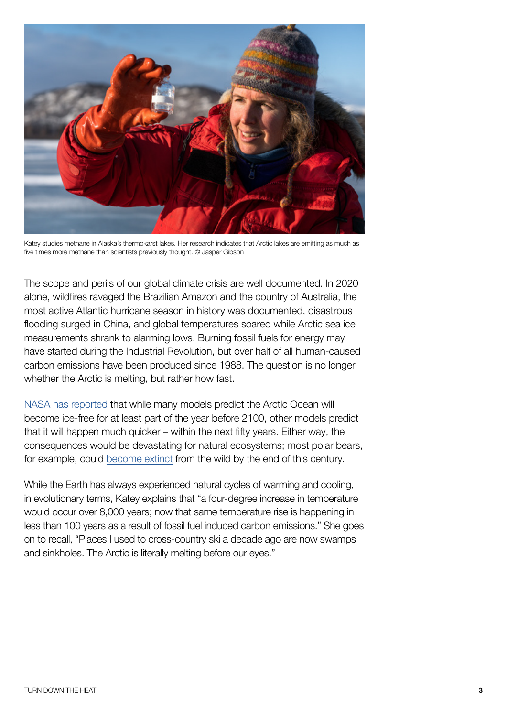

Katey studies methane in Alaska's thermokarst lakes. Her research indicates that Arctic lakes are emitting as much as five times more methane than scientists previously thought. © Jasper Gibson

The scope and perils of our global climate crisis are well documented. In 2020 alone, wildfires ravaged the Brazilian Amazon and the country of Australia, the most active Atlantic hurricane season in history was documented, disastrous flooding surged in China, and global temperatures soared while Arctic sea ice measurements shrank to alarming lows. Burning fossil fuels for energy may have started during the Industrial Revolution, but over half of all human-caused carbon emissions have been produced since 1988. The question is no longer whether the Arctic is melting, but rather how fast.

[NASA has reported](https://www.nasa.gov/feature/goddard/2020/emissions-could-add-15-inches-to-2100-sea-level-rise-nasa-led-study-finds) that while many models predict the Arctic Ocean will become ice-free for at least part of the year before 2100, other models predict that it will happen much quicker – within the next fifty years. Either way, the consequences would be devastating for natural ecosystems; most polar bears, for example, could [become extinct](https://www.nytimes.com/2020/07/20/climate/polar-bear-extinction.html) from the wild by the end of this century.

While the Earth has always experienced natural cycles of warming and cooling, in evolutionary terms, Katey explains that "a four-degree increase in temperature would occur over 8,000 years; now that same temperature rise is happening in less than 100 years as a result of fossil fuel induced carbon emissions." She goes on to recall, "Places I used to cross-country ski a decade ago are now swamps and sinkholes. The Arctic is literally melting before our eyes."